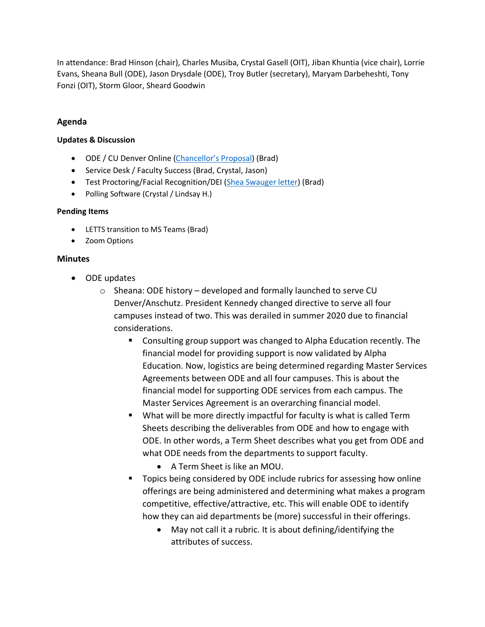In attendance: Brad Hinson (chair), Charles Musiba, Crystal Gasell (OIT), Jiban Khuntia (vice chair), Lorrie Evans, Sheana Bull (ODE), Jason Drysdale (ODE), Troy Butler (secretary), Maryam Darbeheshti, Tony Fonzi (OIT), Storm Gloor, Sheard Goodwin

## **Agenda**

## **Updates & Discussion**

- ODE / CU Denver Online [\(Chancellor's Proposal\)](https://teams.microsoft.com/l/file/C8A6FAEE-4898-4985-B75E-06457DC86C7A?tenantId=563337ca-a517-421a-aae0-1aa5b414fd7f&fileType=pdf&objectUrl=https%3A%2F%2Folucdenver.sharepoint.com%2Fsites%2FLETTS%2FShared%20Documents%2FGeneral%2FAY2021%2FOnline%20Learning%20Initiative%5B1%5D.pdf&baseUrl=https%3A%2F%2Folucdenver.sharepoint.com%2Fsites%2FLETTS&serviceName=teams&threadId=19:d503723200fd4e4eb7bb2ed37d006348@thread.tacv2&groupId=b89e675e-6460-4b9e-bd32-754e766333e5) (Brad)
- Service Desk / Faculty Success (Brad, Crystal, Jason)
- Test Proctoring/Facial Recognition/DEI [\(Shea Swauger letter\)](https://olucdenver-my.sharepoint.com/:w:/r/personal/shea_swauger_ucdenver_edu/_layouts/15/guestaccess.aspx?e=R6ze9N&CID=03d17ca1-8295-4b2f-7107-47f29913cec9&wdLOR=c4E9B5F88-3C0A-A54D-9069-96D82859A309&share=ESB0hjCDhNZNix2fU-T6slkBGFXXHBnc8rYQkSSbWglQgA) (Brad)
- Polling Software (Crystal / Lindsay H.)

## **Pending Items**

- LETTS transition to MS Teams (Brad)
- Zoom Options

## **Minutes**

- ODE updates
	- $\circ$  Sheana: ODE history developed and formally launched to serve CU Denver/Anschutz. President Kennedy changed directive to serve all four campuses instead of two. This was derailed in summer 2020 due to financial considerations.
		- Consulting group support was changed to Alpha Education recently. The financial model for providing support is now validated by Alpha Education. Now, logistics are being determined regarding Master Services Agreements between ODE and all four campuses. This is about the financial model for supporting ODE services from each campus. The Master Services Agreement is an overarching financial model.
		- What will be more directly impactful for faculty is what is called Term Sheets describing the deliverables from ODE and how to engage with ODE. In other words, a Term Sheet describes what you get from ODE and what ODE needs from the departments to support faculty.
			- A Term Sheet is like an MOU.
		- **Topics being considered by ODE include rubrics for assessing how online** offerings are being administered and determining what makes a program competitive, effective/attractive, etc. This will enable ODE to identify how they can aid departments be (more) successful in their offerings.
			- May not call it a rubric. It is about defining/identifying the attributes of success.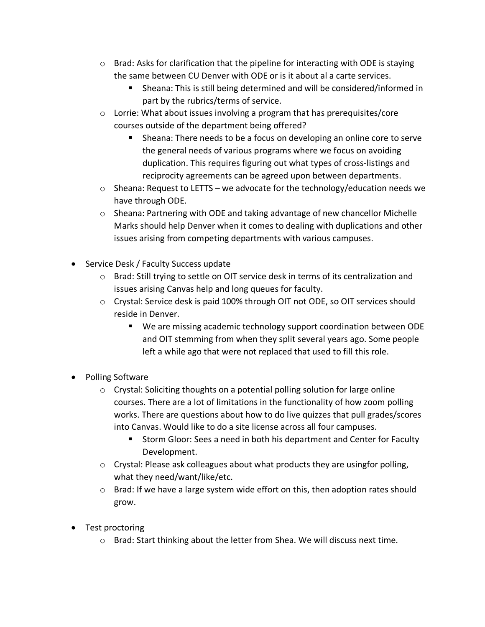- $\circ$  Brad: Asks for clarification that the pipeline for interacting with ODE is staying the same between CU Denver with ODE or is it about al a carte services.
	- Sheana: This is still being determined and will be considered/informed in part by the rubrics/terms of service.
- o Lorrie: What about issues involving a program that has prerequisites/core courses outside of the department being offered?
	- **Sheana: There needs to be a focus on developing an online core to serve** the general needs of various programs where we focus on avoiding duplication. This requires figuring out what types of cross-listings and reciprocity agreements can be agreed upon between departments.
- $\circ$  Sheana: Request to LETTS we advocate for the technology/education needs we have through ODE.
- o Sheana: Partnering with ODE and taking advantage of new chancellor Michelle Marks should help Denver when it comes to dealing with duplications and other issues arising from competing departments with various campuses.
- Service Desk / Faculty Success update
	- $\circ$  Brad: Still trying to settle on OIT service desk in terms of its centralization and issues arising Canvas help and long queues for faculty.
	- o Crystal: Service desk is paid 100% through OIT not ODE, so OIT services should reside in Denver.
		- We are missing academic technology support coordination between ODE and OIT stemming from when they split several years ago. Some people left a while ago that were not replaced that used to fill this role.
- Polling Software
	- o Crystal: Soliciting thoughts on a potential polling solution for large online courses. There are a lot of limitations in the functionality of how zoom polling works. There are questions about how to do live quizzes that pull grades/scores into Canvas. Would like to do a site license across all four campuses.
		- **Storm Gloor: Sees a need in both his department and Center for Faculty** Development.
	- $\circ$  Crystal: Please ask colleagues about what products they are usingfor polling, what they need/want/like/etc.
	- o Brad: If we have a large system wide effort on this, then adoption rates should grow.
- Test proctoring
	- $\circ$  Brad: Start thinking about the letter from Shea. We will discuss next time.